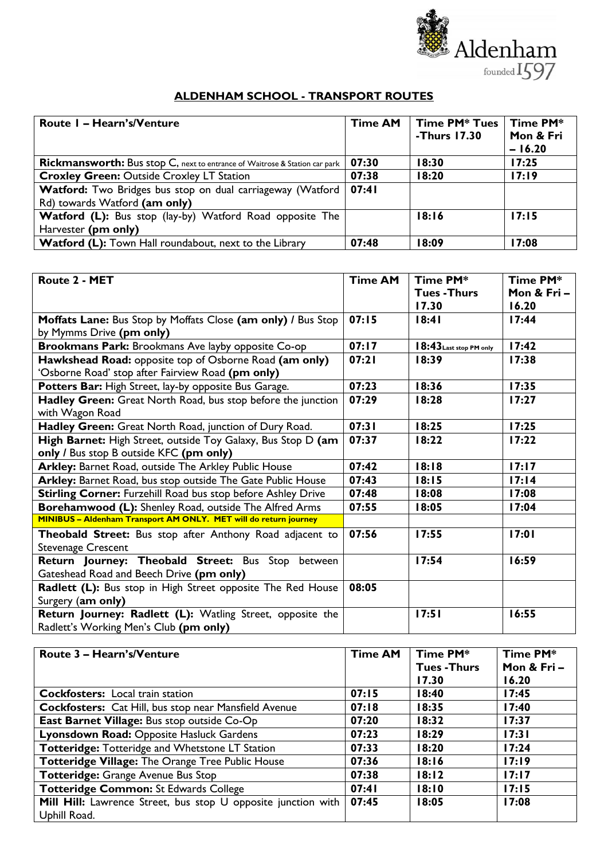

| <b>Route I – Hearn's/Venture</b>                                                            | <b>Time AM</b> | <b>Time PM* Tues</b><br>-Thurs 17.30 | Time PM*<br>Mon & Fri<br>$-16.20$ |
|---------------------------------------------------------------------------------------------|----------------|--------------------------------------|-----------------------------------|
| <b>Rickmansworth:</b> Bus stop C, next to entrance of Waitrose & Station car park           | 07:30          | 18:30                                | 17:25                             |
| <b>Croxley Green: Outside Croxley LT Station</b>                                            | 07:38          | 18:20                                | 17:19                             |
| Watford: Two Bridges bus stop on dual carriageway (Watford<br>Rd) towards Watford (am only) | 07:41          |                                      |                                   |
| <b>Watford (L):</b> Bus stop (lay-by) Watford Road opposite The                             |                | 18:16                                | 17:15                             |
| Harvester (pm only)                                                                         |                |                                      |                                   |
| <b>Watford (L):</b> Town Hall roundabout, next to the Library                               | 07:48          | 18:09                                | 17:08                             |

| Route 2 - MET                                                                         | <b>Time AM</b> | Time PM*<br><b>Tues-Thurs</b> | Time PM*<br>Mon & Fri- |
|---------------------------------------------------------------------------------------|----------------|-------------------------------|------------------------|
|                                                                                       |                | 17.30                         | 16.20                  |
| Moffats Lane: Bus Stop by Moffats Close (am only) / Bus Stop                          | 07:15          | 18:41                         | 17:44                  |
| by Mymms Drive (pm only)                                                              |                |                               |                        |
| <b>Brookmans Park:</b> Brookmans Ave layby opposite Co-op                             | 07:17          | 18:43 Last stop PM only       | 17:42                  |
| Hawkshead Road: opposite top of Osborne Road (am only)                                | 07:21          | 18:39                         | 17:38                  |
| 'Osborne Road' stop after Fairview Road (pm only)                                     |                |                               |                        |
| Potters Bar: High Street, lay-by opposite Bus Garage.                                 | 07:23          | 18:36                         | 17:35                  |
| Hadley Green: Great North Road, bus stop before the junction                          | 07:29          | 18:28                         | 17:27                  |
| with Wagon Road                                                                       |                |                               |                        |
| Hadley Green: Great North Road, junction of Dury Road.                                | 07:31          | 18:25                         | 17:25                  |
| High Barnet: High Street, outside Toy Galaxy, Bus Stop D (am                          | 07:37          | 18:22                         | 17:22                  |
| only / Bus stop B outside KFC (pm only)                                               |                |                               |                        |
| Arkley: Barnet Road, outside The Arkley Public House                                  | 07:42          | 18:18                         | 17:17                  |
| Arkley: Barnet Road, bus stop outside The Gate Public House                           | 07:43          | 18:15                         | 17:14                  |
| Stirling Corner: Furzehill Road bus stop before Ashley Drive                          | 07:48          | 18:08                         | 17:08                  |
| Borehamwood (L): Shenley Road, outside The Alfred Arms                                | 07:55          | 18:05                         | 17:04                  |
| MINIBUS - Aldenham Transport AM ONLY. MET will do return journey                      |                |                               |                        |
| Theobald Street: Bus stop after Anthony Road adjacent to<br><b>Stevenage Crescent</b> | 07:56          | 17:55                         | 17:01                  |
| Return Journey: Theobald Street: Bus Stop between                                     |                | 17:54                         | 16:59                  |
| Gateshead Road and Beech Drive (pm only)                                              |                |                               |                        |
| Radlett (L): Bus stop in High Street opposite The Red House                           | 08:05          |                               |                        |
| Surgery (am only)                                                                     |                |                               |                        |
| Return Journey: Radlett (L): Watling Street, opposite the                             |                | 17:51                         | 16:55                  |
| Radlett's Working Men's Club (pm only)                                                |                |                               |                        |

| Route 3 - Hearn's/Venture                                     | <b>Time AM</b> | Time PM*          | Time PM*   |
|---------------------------------------------------------------|----------------|-------------------|------------|
|                                                               |                | <b>Tues-Thurs</b> | Mon & Fri- |
|                                                               |                | 17.30             | 16.20      |
| <b>Cockfosters:</b> Local train station                       | 07:15          | 18:40             | 17:45      |
| <b>Cockfosters:</b> Cat Hill, bus stop near Mansfield Avenue  | 07:18          | 18:35             | 17:40      |
| East Barnet Village: Bus stop outside Co-Op                   | 07:20          | 18:32             | 17:37      |
| Lyonsdown Road: Opposite Hasluck Gardens                      | 07:23          | 18:29             | 17:31      |
| Totteridge: Totteridge and Whetstone LT Station               | 07:33          | 18:20             | 17:24      |
| Totteridge Village: The Orange Tree Public House              | 07:36          | 18:16             | 17:19      |
| Totteridge: Grange Avenue Bus Stop                            | 07:38          | 18:12             | 17:17      |
| Totteridge Common: St Edwards College                         | 07:41          | 18:10             | 17:15      |
| Mill Hill: Lawrence Street, bus stop U opposite junction with | 07:45          | 18:05             | 17:08      |
| Uphill Road.                                                  |                |                   |            |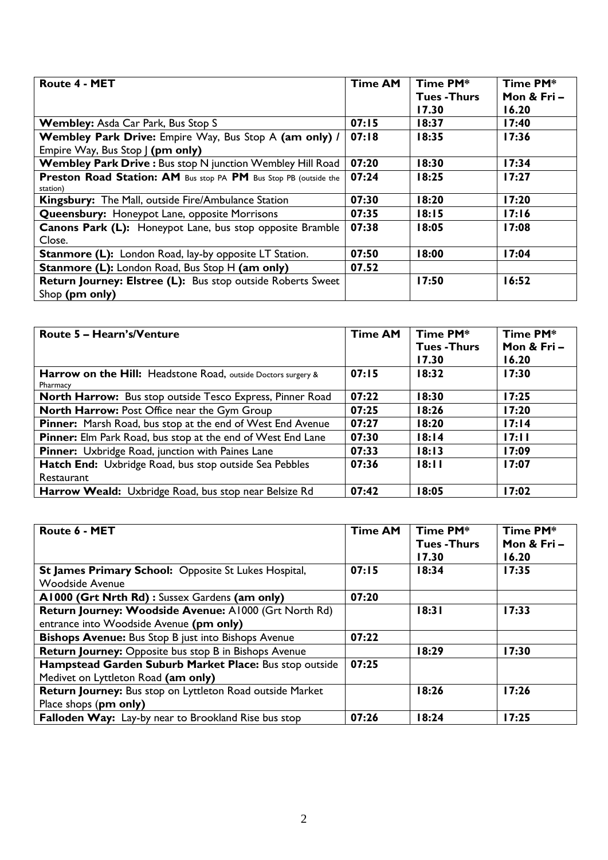| <b>Route 4 - MET</b>                                             | <b>Time AM</b> | Time PM*          | Time PM*   |
|------------------------------------------------------------------|----------------|-------------------|------------|
|                                                                  |                | <b>Tues-Thurs</b> | Mon & Fri- |
|                                                                  |                | 17.30             | 16.20      |
| Wembley: Asda Car Park, Bus Stop S                               | 07:15          | 18:37             | 17:40      |
| Wembley Park Drive: Empire Way, Bus Stop A (am only) /           | 07:18          | 18:35             | 17:36      |
| Empire Way, Bus Stop   (pm only)                                 |                |                   |            |
| Wembley Park Drive : Bus stop N junction Wembley Hill Road       | 07:20          | 18:30             | 17:34      |
| Preston Road Station: AM Bus stop PA PM Bus Stop PB (outside the | 07:24          | 18:25             | 17:27      |
| station)                                                         |                |                   |            |
| Kingsbury: The Mall, outside Fire/Ambulance Station              | 07:30          | 18:20             | 17:20      |
| <b>Queensbury:</b> Honeypot Lane, opposite Morrisons             | 07:35          | 18:15             | 17:16      |
| <b>Canons Park (L):</b> Honeypot Lane, bus stop opposite Bramble | 07:38          | 18:05             | 17:08      |
| Close.                                                           |                |                   |            |
| <b>Stanmore (L):</b> London Road, lay-by opposite LT Station.    | 07:50          | 18:00             | 17:04      |
| <b>Stanmore (L):</b> London Road, Bus Stop H (am only)           | 07.52          |                   |            |
| Return Journey: Elstree (L): Bus stop outside Roberts Sweet      |                | 17:50             | 16:52      |
| Shop (pm only)                                                   |                |                   |            |

| Route 5 - Hearn's/Venture                                                 | <b>Time AM</b> | Time PM*<br><b>Tues - Thurs</b> | Time PM*<br>Mon & Fri- |
|---------------------------------------------------------------------------|----------------|---------------------------------|------------------------|
|                                                                           |                | 17.30                           | 16.20                  |
| Harrow on the Hill: Headstone Road, outside Doctors surgery &<br>Pharmacy | 07:15          | 18:32                           | 17:30                  |
| North Harrow: Bus stop outside Tesco Express, Pinner Road                 | 07:22          | 18:30                           | 17:25                  |
| <b>North Harrow: Post Office near the Gym Group</b>                       | 07:25          | 18:26                           | 17:20                  |
| <b>Pinner:</b> Marsh Road, bus stop at the end of West End Avenue         | 07:27          | 18:20                           | 17:14                  |
| <b>Pinner:</b> Elm Park Road, bus stop at the end of West End Lane        | 07:30          | 18:14                           | 17:11                  |
| <b>Pinner:</b> Uxbridge Road, junction with Paines Lane                   | 07:33          | 18:13                           | 17:09                  |
| Hatch End: Uxbridge Road, bus stop outside Sea Pebbles                    | 07:36          | 18:11                           | 17:07                  |
| Restaurant                                                                |                |                                 |                        |
| Harrow Weald: Uxbridge Road, bus stop near Belsize Rd                     | 07:42          | 18:05                           | 17:02                  |

| Route 6 - MET                                                | <b>Time AM</b> | Time PM*<br><b>Tues-Thurs</b><br>17.30 | Time PM*<br>Mon & Fri-<br>16.20 |
|--------------------------------------------------------------|----------------|----------------------------------------|---------------------------------|
| <b>St James Primary School: Opposite St Lukes Hospital,</b>  | 07:15          | 18:34                                  | 17:35                           |
| <b>Woodside Avenue</b>                                       |                |                                        |                                 |
| A1000 (Grt Nrth Rd): Sussex Gardens (am only)                | 07:20          |                                        |                                 |
| Return Journey: Woodside Avenue: A1000 (Grt North Rd)        |                | 18:31                                  | 17:33                           |
| entrance into Woodside Avenue (pm only)                      |                |                                        |                                 |
| <b>Bishops Avenue:</b> Bus Stop B just into Bishops Avenue   | 07:22          |                                        |                                 |
| <b>Return Journey:</b> Opposite bus stop B in Bishops Avenue |                | 18:29                                  | 17:30                           |
| Hampstead Garden Suburb Market Place: Bus stop outside       | 07:25          |                                        |                                 |
| Medivet on Lyttleton Road (am only)                          |                |                                        |                                 |
| Return Journey: Bus stop on Lyttleton Road outside Market    |                | 18:26                                  | 17:26                           |
| Place shops (pm only)                                        |                |                                        |                                 |
| Falloden Way: Lay-by near to Brookland Rise bus stop         | 07:26          | 18:24                                  | 17:25                           |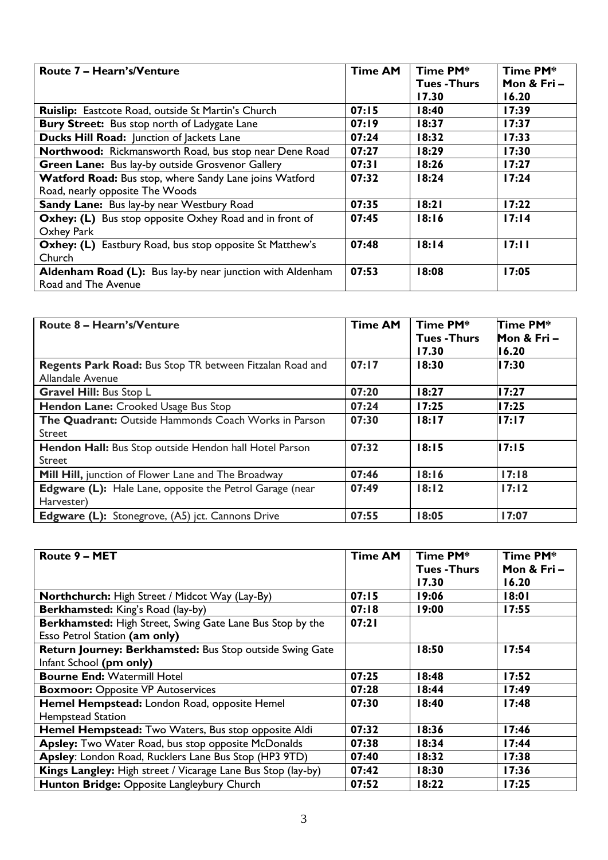| Route 7 – Hearn's/Venture                                       | <b>Time AM</b> | Time PM*          | Time PM*   |
|-----------------------------------------------------------------|----------------|-------------------|------------|
|                                                                 |                | <b>Tues-Thurs</b> | Mon & Fri- |
|                                                                 |                | 17.30             | 16.20      |
| <b>Ruislip:</b> Eastcote Road, outside St Martin's Church       | 07:15          | 18:40             | 17:39      |
| <b>Bury Street:</b> Bus stop north of Ladygate Lane             | 07:19          | 18:37             | 17:37      |
| Ducks Hill Road: Junction of Jackets Lane                       | 07:24          | 18:32             | 17:33      |
| Northwood: Rickmansworth Road, bus stop near Dene Road          | 07:27          | 18:29             | 17:30      |
| Green Lane: Bus lay-by outside Grosvenor Gallery                | 07:31          | 18:26             | 17:27      |
| Watford Road: Bus stop, where Sandy Lane joins Watford          | 07:32          | 18:24             | 17:24      |
| Road, nearly opposite The Woods                                 |                |                   |            |
| <b>Sandy Lane:</b> Bus lay-by near Westbury Road                | 07:35          | 18:21             | 17:22      |
| Oxhey: (L) Bus stop opposite Oxhey Road and in front of         | 07:45          | 18:16             | 17:14      |
| Oxhey Park                                                      |                |                   |            |
| <b>Oxhey: (L)</b> Eastbury Road, bus stop opposite St Matthew's | 07:48          | 18:14             | 17:11      |
| Church                                                          |                |                   |            |
| Aldenham Road (L): Bus lay-by near junction with Aldenham       | 07:53          | 18:08             | 17:05      |
| Road and The Avenue                                             |                |                   |            |

| Route 8 – Hearn's/Venture                                                    | <b>Time AM</b> | Time PM*<br><b>Tues - Thurs</b><br>17.30 | Time PM*<br>Mon & Fri-<br>16.20 |
|------------------------------------------------------------------------------|----------------|------------------------------------------|---------------------------------|
| Regents Park Road: Bus Stop TR between Fitzalan Road and<br>Allandale Avenue | 07:17          | 18:30                                    | II <sub>7:30</sub>              |
| <b>Gravel Hill: Bus Stop L</b>                                               | 07:20          | 18:27                                    | ll 7:27                         |
| Hendon Lane: Crooked Usage Bus Stop                                          | 07:24          | 17:25                                    | II 7:25                         |
| The Quadrant: Outside Hammonds Coach Works in Parson<br>Street               | 07:30          | 18:17                                    | II7:17                          |
| Hendon Hall: Bus Stop outside Hendon hall Hotel Parson<br><b>Street</b>      | 07:32          | 18:15                                    | II7:15                          |
| Mill Hill, junction of Flower Lane and The Broadway                          | 07:46          | 18:16                                    | 17:18                           |
| Edgware (L): Hale Lane, opposite the Petrol Garage (near<br>Harvester)       | 07:49          | 18:12                                    | 17:12                           |
| <b>Edgware (L):</b> Stonegrove, (A5) jct. Cannons Drive                      | 07:55          | 18:05                                    | 17:07                           |

| Route 9 - MET                                                | <b>Time AM</b> | Time PM*<br><b>Tues - Thurs</b> | Time PM*<br>Mon & Fri- |
|--------------------------------------------------------------|----------------|---------------------------------|------------------------|
|                                                              |                | 17.30                           | 16.20                  |
| Northchurch: High Street / Midcot Way (Lay-By)               | 07:15          | 19:06                           | 18:01                  |
| Berkhamsted: King's Road (lay-by)                            | 07:18          | 19:00                           | 17:55                  |
| Berkhamsted: High Street, Swing Gate Lane Bus Stop by the    | 07:21          |                                 |                        |
| Esso Petrol Station (am only)                                |                |                                 |                        |
| Return Journey: Berkhamsted: Bus Stop outside Swing Gate     |                | 18:50                           | 17:54                  |
| Infant School (pm only)                                      |                |                                 |                        |
| <b>Bourne End: Watermill Hotel</b>                           | 07:25          | 18:48                           | 17:52                  |
| <b>Boxmoor: Opposite VP Autoservices</b>                     | 07:28          | 18:44                           | 17:49                  |
| Hemel Hempstead: London Road, opposite Hemel                 | 07:30          | 18:40                           | 17:48                  |
| Hempstead Station                                            |                |                                 |                        |
| Hemel Hempstead: Two Waters, Bus stop opposite Aldi          | 07:32          | 18:36                           | l 7:46                 |
| Apsley: Two Water Road, bus stop opposite McDonalds          | 07:38          | 18:34                           | 17:44                  |
| Apsley: London Road, Rucklers Lane Bus Stop (HP3 9TD)        | 07:40          | 18:32                           | 17:38                  |
| Kings Langley: High street / Vicarage Lane Bus Stop (lay-by) | 07:42          | 18:30                           | 17:36                  |
| Hunton Bridge: Opposite Langleybury Church                   | 07:52          | 18:22                           | 17:25                  |